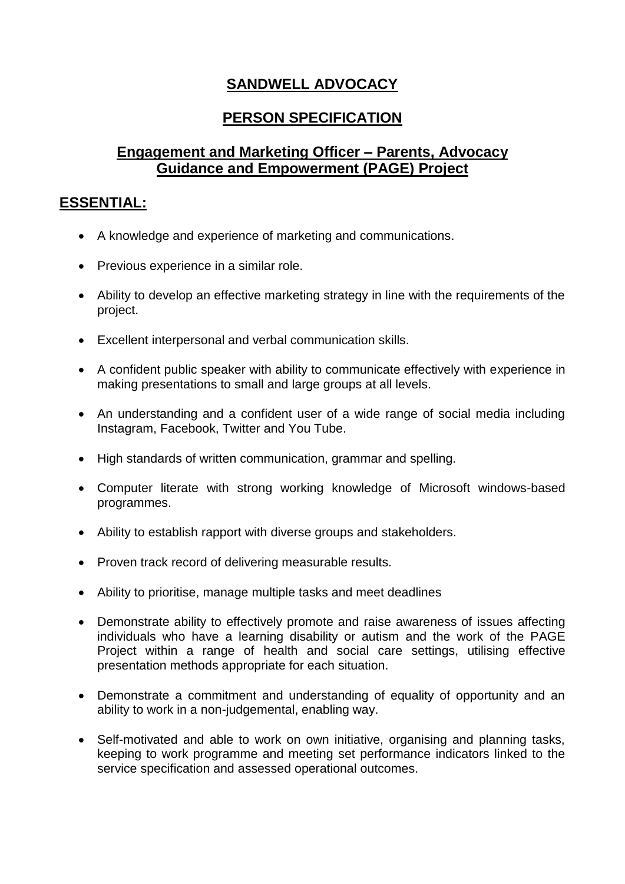# **SANDWELL ADVOCACY**

## **PERSON SPECIFICATION**

## **Engagement and Marketing Officer – Parents, Advocacy Guidance and Empowerment (PAGE) Project**

#### **ESSENTIAL:**

- A knowledge and experience of marketing and communications.
- Previous experience in a similar role.
- Ability to develop an effective marketing strategy in line with the requirements of the project.
- Excellent interpersonal and verbal communication skills.
- A confident public speaker with ability to communicate effectively with experience in making presentations to small and large groups at all levels.
- An understanding and a confident user of a wide range of social media including Instagram, Facebook, Twitter and You Tube.
- High standards of written communication, grammar and spelling.
- Computer literate with strong working knowledge of Microsoft windows-based programmes.
- Ability to establish rapport with diverse groups and stakeholders.
- Proven track record of delivering measurable results.
- Ability to prioritise, manage multiple tasks and meet deadlines
- Demonstrate ability to effectively promote and raise awareness of issues affecting individuals who have a learning disability or autism and the work of the PAGE Project within a range of health and social care settings, utilising effective presentation methods appropriate for each situation.
- Demonstrate a commitment and understanding of equality of opportunity and an ability to work in a non-judgemental, enabling way.
- Self-motivated and able to work on own initiative, organising and planning tasks, keeping to work programme and meeting set performance indicators linked to the service specification and assessed operational outcomes.